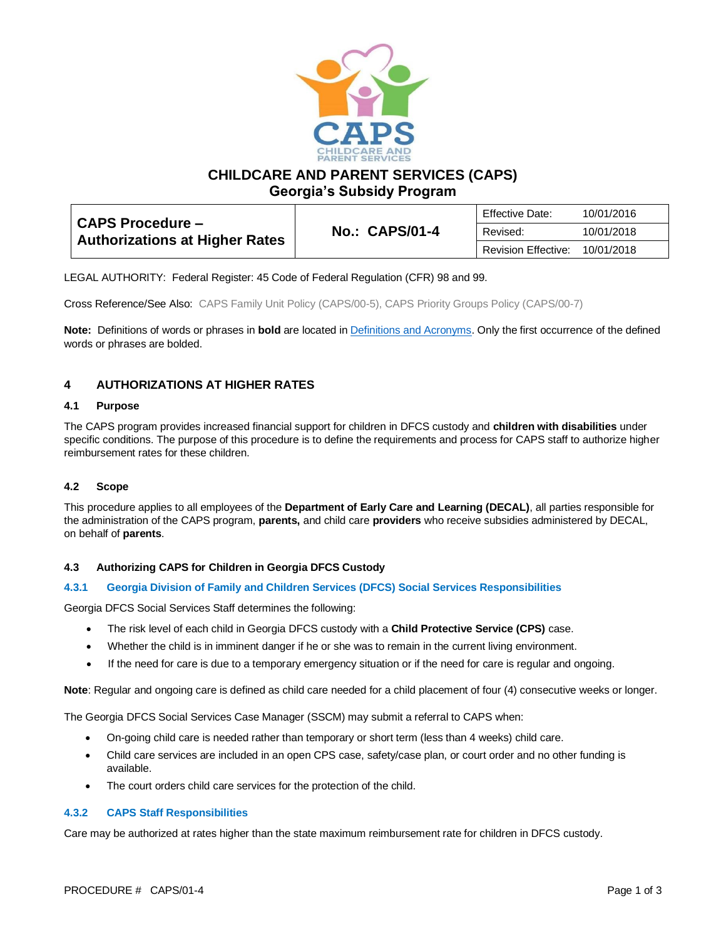

**CHILDCARE AND PARENT SERVICES (CAPS)**

**Georgia's Subsidy Program**

| <b>CAPS Procedure -</b><br><b>Authorizations at Higher Rates</b> | <b>No.: CAPS/01-4</b> | <b>Effective Date:</b>     | 10/01/2016 |
|------------------------------------------------------------------|-----------------------|----------------------------|------------|
|                                                                  |                       | Revised:                   | 10/01/2018 |
|                                                                  |                       | <b>Revision Effective:</b> | 10/01/2018 |

LEGAL AUTHORITY: Federal Register: 45 Code of Federal Regulation (CFR) 98 and 99.

Cross Reference/See Also: CAPS Family Unit Policy (CAPS/00-5), CAPS Priority Groups Policy (CAPS/00-7)

**Note:** Definitions of words or phrases in **bold** are located i[n Definitions and Acronyms.](https://caps.decal.ga.gov/assets/downloads/CAPS/02-CAPS_Policy-Definitions%20and%20Acronyms.pdf) Only the first occurrence of the defined words or phrases are bolded.

# **4 AUTHORIZATIONS AT HIGHER RATES**

### **4.1 Purpose**

The CAPS program provides increased financial support for children in DFCS custody and **children with disabilities** under specific conditions. The purpose of this procedure is to define the requirements and process for CAPS staff to authorize higher reimbursement rates for these children.

## **4.2 Scope**

This procedure applies to all employees of the **Department of Early Care and Learning (DECAL)**, all parties responsible for the administration of the CAPS program, **parents,** and child care **providers** who receive subsidies administered by DECAL, on behalf of **parents**.

#### **4.3 Authorizing CAPS for Children in Georgia DFCS Custody**

### **4.3.1 Georgia Division of Family and Children Services (DFCS) Social Services Responsibilities**

Georgia DFCS Social Services Staff determines the following:

- The risk level of each child in Georgia DFCS custody with a **Child Protective Service (CPS)** case.
- Whether the child is in imminent danger if he or she was to remain in the current living environment.
- If the need for care is due to a temporary emergency situation or if the need for care is regular and ongoing.

**Note**: Regular and ongoing care is defined as child care needed for a child placement of four (4) consecutive weeks or longer.

The Georgia DFCS Social Services Case Manager (SSCM) may submit a referral to CAPS when:

- On-going child care is needed rather than temporary or short term (less than 4 weeks) child care.
- Child care services are included in an open CPS case, safety/case plan, or court order and no other funding is available.
- The court orders child care services for the protection of the child.

#### **4.3.2 CAPS Staff Responsibilities**

Care may be authorized at rates higher than the state maximum reimbursement rate for children in DFCS custody.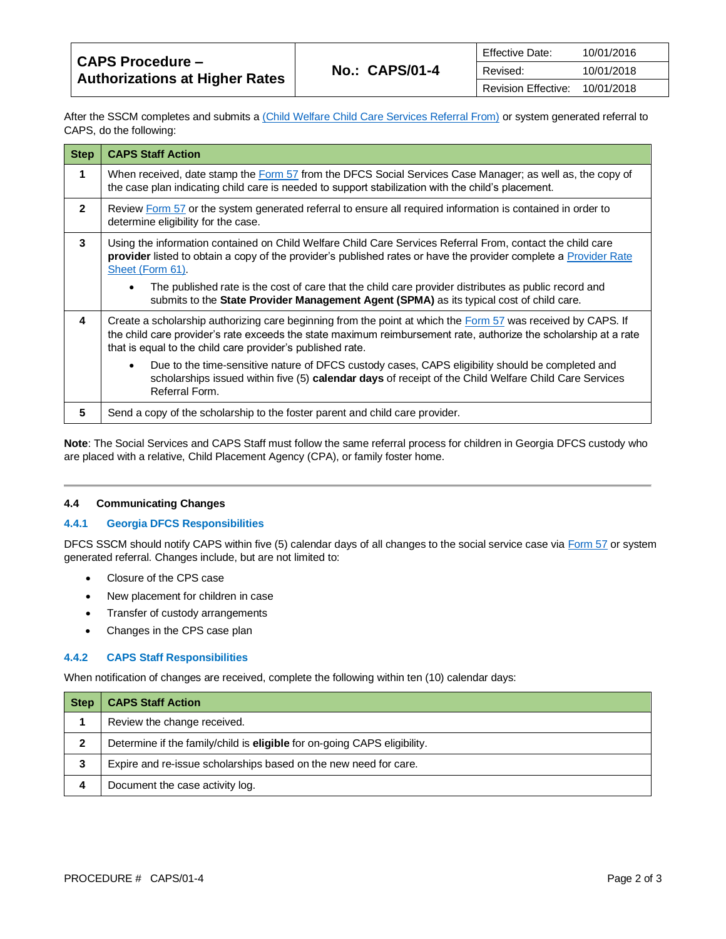| <b>CAPS Procedure –</b><br><b>Authorizations at Higher Rates</b> | <b>Effective Date:</b><br><b>No.: CAPS/01-4</b><br>Revised:<br>Revision Effective: |            | 10/01/2016 |
|------------------------------------------------------------------|------------------------------------------------------------------------------------|------------|------------|
|                                                                  |                                                                                    |            | 10/01/2018 |
|                                                                  |                                                                                    | 10/01/2018 |            |

After the SSCM completes and submits a [\(Child Welfare Child Care Services Referral From\)](https://caps.decal.ga.gov/assets/downloads/CAPS/AppendixH-Form%2057%20Social%20Services%20DFCS%20Custody%20Referral.pdf) or system generated referral to CAPS, do the following:

| <b>Step</b>    | <b>CAPS Staff Action</b>                                                                                                                                                                                                                                                                              |  |
|----------------|-------------------------------------------------------------------------------------------------------------------------------------------------------------------------------------------------------------------------------------------------------------------------------------------------------|--|
| 1              | When received, date stamp the Form 57 from the DFCS Social Services Case Manager; as well as, the copy of<br>the case plan indicating child care is needed to support stabilization with the child's placement.                                                                                       |  |
| $\overline{2}$ | Review Form 57 or the system generated referral to ensure all required information is contained in order to<br>determine eligibility for the case.                                                                                                                                                    |  |
| 3              | Using the information contained on Child Welfare Child Care Services Referral From, contact the child care<br>provider listed to obtain a copy of the provider's published rates or have the provider complete a Provider Rate<br>Sheet (Form 61).                                                    |  |
|                | The published rate is the cost of care that the child care provider distributes as public record and<br>$\bullet$<br>submits to the State Provider Management Agent (SPMA) as its typical cost of child care.                                                                                         |  |
| 4              | Create a scholarship authorizing care beginning from the point at which the <b>Form 57</b> was received by CAPS. If<br>the child care provider's rate exceeds the state maximum reimbursement rate, authorize the scholarship at a rate<br>that is equal to the child care provider's published rate. |  |
|                | Due to the time-sensitive nature of DFCS custody cases, CAPS eligibility should be completed and<br>$\bullet$<br>scholarships issued within five (5) calendar days of receipt of the Child Welfare Child Care Services<br>Referral Form.                                                              |  |
| 5              | Send a copy of the scholarship to the foster parent and child care provider.                                                                                                                                                                                                                          |  |

**Note**: The Social Services and CAPS Staff must follow the same referral process for children in Georgia DFCS custody who are placed with a relative, Child Placement Agency (CPA), or family foster home.

#### **4.4 Communicating Changes**

#### **4.4.1 Georgia DFCS Responsibilities**

DFCS SSCM should notify CAPS within five (5) calendar days of all changes to the social service case vi[a Form 57](https://caps.decal.ga.gov/assets/downloads/CAPS/AppendixH-Form%2057%20Social%20Services%20DFCS%20Custody%20Referral.pdf) or system generated referral. Changes include, but are not limited to:

- Closure of the CPS case
- New placement for children in case
- Transfer of custody arrangements
- Changes in the CPS case plan

#### **4.4.2 CAPS Staff Responsibilities**

When notification of changes are received, complete the following within ten (10) calendar days:

| Step | <b>CAPS Staff Action</b>                                                 |
|------|--------------------------------------------------------------------------|
|      | Review the change received.                                              |
|      | Determine if the family/child is eligible for on-going CAPS eligibility. |
| 3    | Expire and re-issue scholarships based on the new need for care.         |
| 4    | Document the case activity log.                                          |